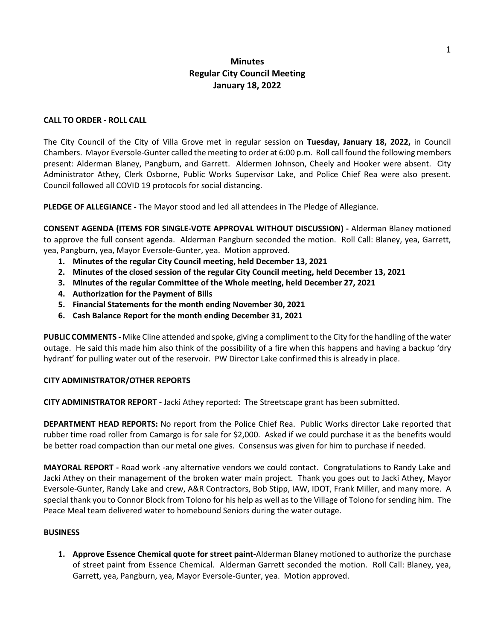# **Minutes Regular City Council Meeting January 18, 2022**

### **CALL TO ORDER - ROLL CALL**

The City Council of the City of Villa Grove met in regular session on **Tuesday, January 18, 2022,** in Council Chambers. Mayor Eversole-Gunter called the meeting to order at 6:00 p.m. Roll call found the following members present: Alderman Blaney, Pangburn, and Garrett. Aldermen Johnson, Cheely and Hooker were absent. City Administrator Athey, Clerk Osborne, Public Works Supervisor Lake, and Police Chief Rea were also present. Council followed all COVID 19 protocols for social distancing.

**PLEDGE OF ALLEGIANCE -** The Mayor stood and led all attendees in The Pledge of Allegiance.

**CONSENT AGENDA (ITEMS FOR SINGLE-VOTE APPROVAL WITHOUT DISCUSSION) -** Alderman Blaney motioned to approve the full consent agenda. Alderman Pangburn seconded the motion. Roll Call: Blaney, yea, Garrett, yea, Pangburn, yea, Mayor Eversole-Gunter, yea. Motion approved.

- **1. Minutes of the regular City Council meeting, held December 13, 2021**
- **2. Minutes of the closed session of the regular City Council meeting, held December 13, 2021**
- **3. Minutes of the regular Committee of the Whole meeting, held December 27, 2021**
- **4. Authorization for the Payment of Bills**
- **5. Financial Statements for the month ending November 30, 2021**
- **6. Cash Balance Report for the month ending December 31, 2021**

**PUBLIC COMMENTS -** Mike Cline attended and spoke, giving a compliment to the City for the handling of the water outage. He said this made him also think of the possibility of a fire when this happens and having a backup 'dry hydrant' for pulling water out of the reservoir. PW Director Lake confirmed this is already in place.

#### **CITY ADMINISTRATOR/OTHER REPORTS**

**CITY ADMINISTRATOR REPORT -** Jacki Athey reported: The Streetscape grant has been submitted.

**DEPARTMENT HEAD REPORTS:** No report from the Police Chief Rea. Public Works director Lake reported that rubber time road roller from Camargo is for sale for \$2,000. Asked if we could purchase it as the benefits would be better road compaction than our metal one gives. Consensus was given for him to purchase if needed.

**MAYORAL REPORT -** Road work -any alternative vendors we could contact. Congratulations to Randy Lake and Jacki Athey on their management of the broken water main project. Thank you goes out to Jacki Athey, Mayor Eversole-Gunter, Randy Lake and crew, A&R Contractors, Bob Stipp, IAW, IDOT, Frank Miller, and many more. A special thank you to Connor Block from Tolono for his help as well as to the Village of Tolono for sending him. The Peace Meal team delivered water to homebound Seniors during the water outage.

#### **BUSINESS**

**1. Approve Essence Chemical quote for street paint-**Alderman Blaney motioned to authorize the purchase of street paint from Essence Chemical. Alderman Garrett seconded the motion. Roll Call: Blaney, yea, Garrett, yea, Pangburn, yea, Mayor Eversole-Gunter, yea. Motion approved.